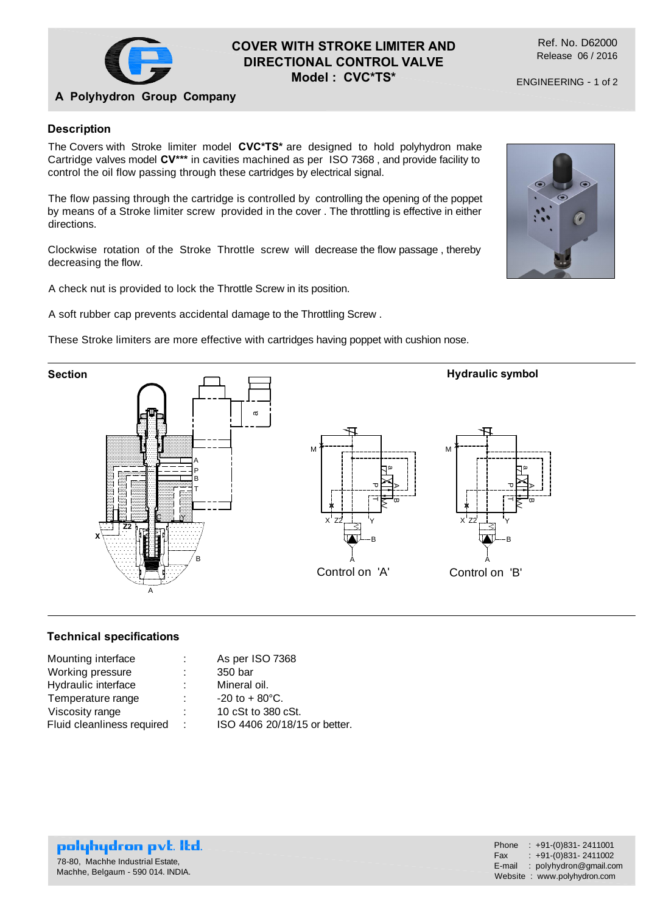

# **COVER WITH STROKE LIMITER AND DIRECTIONAL CONTROL VALVE Model : CVC\*TS\***

Ref. No. D62000 Release 06 / 2016

ENGINEERING - 1 of 2

# **A Polyhydron Group Company**

## **Description**

The Covers with Stroke limiter model **CVC\*TS\*** are designed to hold polyhydron make Cartridge valves model **CV\*\*\*** in cavities machined as per ISO 7368 , and provide facility to control the oil flow passing through these cartridges by electrical signal.

The flow passing through the cartridge is controlled by controlling the opening of the poppet by means of a Stroke limiter screw provided in the cover . The throttling is effective in either directions.

Clockwise rotation of the Stroke Throttle screw will decrease the flow passage , thereby decreasing the flow.

A check nut is provided to lock the Throttle Screw in its position.

A soft rubber cap prevents accidental damage to the Throttling Screw .

These Stroke limiters are more effective with cartridges having poppet with cushion nose.



### **Technical specifications**

| Mounting interface         |    | As per ISO 7368              |
|----------------------------|----|------------------------------|
| Working pressure           |    | 350 bar                      |
| Hydraulic interface        |    | Mineral oil.                 |
| Temperature range          |    | $-20$ to $+80^{\circ}$ C.    |
| Viscosity range            | ٠. | 10 cSt to 380 cSt.           |
| Fluid cleanliness required | ÷  | ISO 4406 20/18/15 or better. |